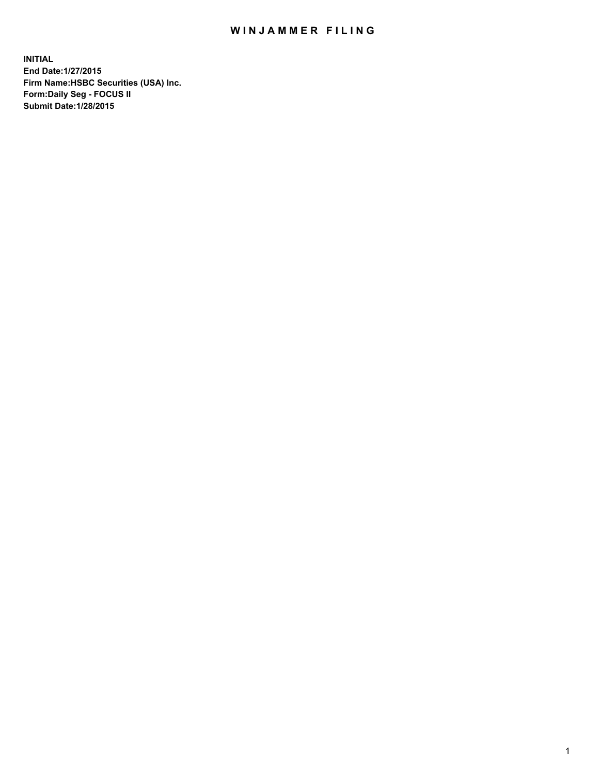## WIN JAMMER FILING

**INITIAL End Date:1/27/2015 Firm Name:HSBC Securities (USA) Inc. Form:Daily Seg - FOCUS II Submit Date:1/28/2015**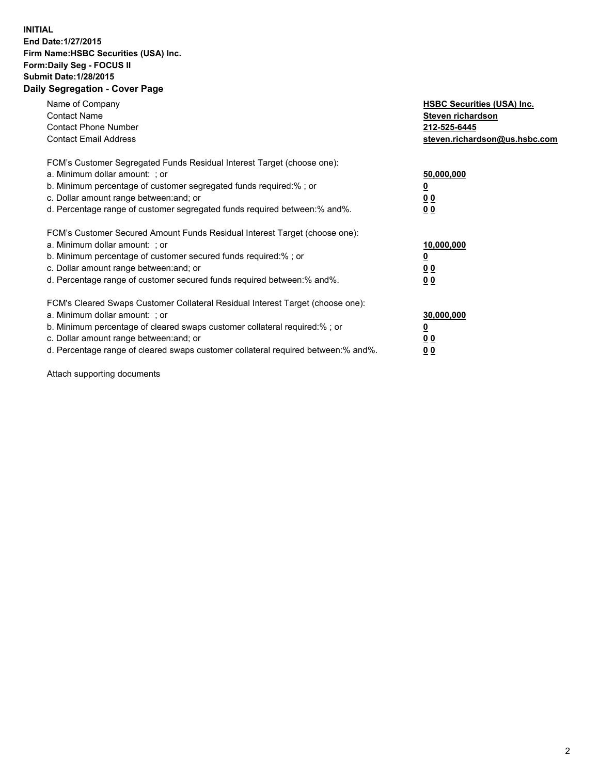## **INITIAL End Date:1/27/2015 Firm Name:HSBC Securities (USA) Inc. Form:Daily Seg - FOCUS II Submit Date:1/28/2015 Daily Segregation - Cover Page**

| Name of Company<br><b>Contact Name</b><br><b>Contact Phone Number</b><br><b>Contact Email Address</b>                                                                                                                                                                                                                          | <b>HSBC Securities (USA) Inc.</b><br>Steven richardson<br>212-525-6445<br>steven.richardson@us.hsbc.com |
|--------------------------------------------------------------------------------------------------------------------------------------------------------------------------------------------------------------------------------------------------------------------------------------------------------------------------------|---------------------------------------------------------------------------------------------------------|
| FCM's Customer Segregated Funds Residual Interest Target (choose one):<br>a. Minimum dollar amount: ; or<br>b. Minimum percentage of customer segregated funds required:%; or<br>c. Dollar amount range between: and; or<br>d. Percentage range of customer segregated funds required between: % and %.                        | 50,000,000<br>0 <sub>0</sub><br>0 <sub>0</sub>                                                          |
| FCM's Customer Secured Amount Funds Residual Interest Target (choose one):<br>a. Minimum dollar amount: ; or<br>b. Minimum percentage of customer secured funds required:%; or<br>c. Dollar amount range between: and; or<br>d. Percentage range of customer secured funds required between:% and%.                            | 10,000,000<br><u>0</u><br>0 <sub>0</sub><br>0 <sub>0</sub>                                              |
| FCM's Cleared Swaps Customer Collateral Residual Interest Target (choose one):<br>a. Minimum dollar amount: ; or<br>b. Minimum percentage of cleared swaps customer collateral required:% ; or<br>c. Dollar amount range between: and; or<br>d. Percentage range of cleared swaps customer collateral required between:% and%. | 30,000,000<br>00<br><u>00</u>                                                                           |

Attach supporting documents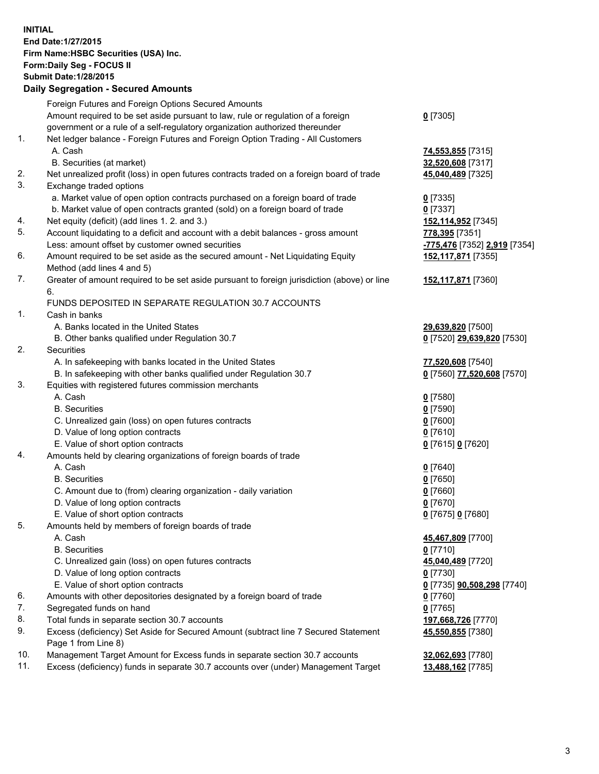**INITIAL End Date:1/27/2015 Firm Name:HSBC Securities (USA) Inc. Form:Daily Seg - FOCUS II Submit Date:1/28/2015 Daily Segregation - Secured Amounts**

Foreign Futures and Foreign Options Secured Amounts Amount required to be set aside pursuant to law, rule or regulation of a foreign government or a rule of a self-regulatory organization authorized thereunder **0** [7305] 1. Net ledger balance - Foreign Futures and Foreign Option Trading - All Customers A. Cash **74,553,855** [7315] B. Securities (at market) **32,520,608** [7317] 2. Net unrealized profit (loss) in open futures contracts traded on a foreign board of trade **45,040,489** [7325] 3. Exchange traded options a. Market value of open option contracts purchased on a foreign board of trade **0** [7335] b. Market value of open contracts granted (sold) on a foreign board of trade **0** [7337] 4. Net equity (deficit) (add lines 1. 2. and 3.) **152,114,952** [7345] 5. Account liquidating to a deficit and account with a debit balances - gross amount **778,395** [7351] Less: amount offset by customer owned securities **-775,476** [7352] **2,919** [7354] 6. Amount required to be set aside as the secured amount - Net Liquidating Equity Method (add lines 4 and 5) **152,117,871** [7355] 7. Greater of amount required to be set aside pursuant to foreign jurisdiction (above) or line 6. **152,117,871** [7360] FUNDS DEPOSITED IN SEPARATE REGULATION 30.7 ACCOUNTS 1. Cash in banks A. Banks located in the United States **29,639,820** [7500] B. Other banks qualified under Regulation 30.7 **0** [7520] **29,639,820** [7530] 2. Securities A. In safekeeping with banks located in the United States **77,520,608** [7540] B. In safekeeping with other banks qualified under Regulation 30.7 **0** [7560] **77,520,608** [7570] 3. Equities with registered futures commission merchants A. Cash **0** [7580] B. Securities **0** [7590] C. Unrealized gain (loss) on open futures contracts **0** [7600] D. Value of long option contracts **0** [7610] E. Value of short option contracts **0** [7615] **0** [7620] 4. Amounts held by clearing organizations of foreign boards of trade A. Cash **0** [7640] B. Securities **0** [7650] C. Amount due to (from) clearing organization - daily variation **0** [7660] D. Value of long option contracts **0** [7670] E. Value of short option contracts **0** [7675] **0** [7680] 5. Amounts held by members of foreign boards of trade A. Cash **45,467,809** [7700] B. Securities **0** [7710] C. Unrealized gain (loss) on open futures contracts **45,040,489** [7720] D. Value of long option contracts **0** [7730] E. Value of short option contracts **0** [7735] **90,508,298** [7740] 6. Amounts with other depositories designated by a foreign board of trade **0** [7760] 7. Segregated funds on hand **0** [7765] 8. Total funds in separate section 30.7 accounts **197,668,726** [7770] 9. Excess (deficiency) Set Aside for Secured Amount (subtract line 7 Secured Statement Page 1 from Line 8) **45,550,855** [7380] 10. Management Target Amount for Excess funds in separate section 30.7 accounts **32,062,693** [7780] 11. Excess (deficiency) funds in separate 30.7 accounts over (under) Management Target **13,488,162** [7785]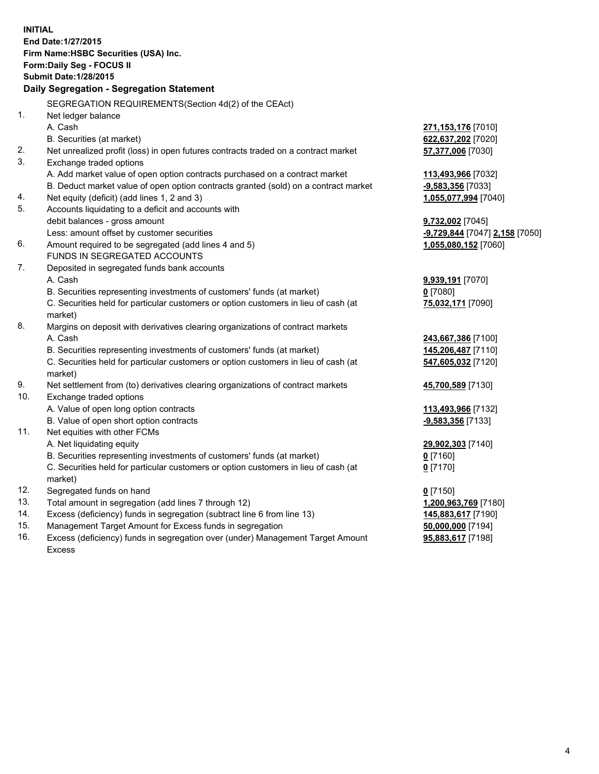| <b>INITIAL</b>                                               |                                                                                                                                     |                                                        |  |  |
|--------------------------------------------------------------|-------------------------------------------------------------------------------------------------------------------------------------|--------------------------------------------------------|--|--|
| End Date: 1/27/2015<br>Firm Name: HSBC Securities (USA) Inc. |                                                                                                                                     |                                                        |  |  |
| Form: Daily Seg - FOCUS II                                   |                                                                                                                                     |                                                        |  |  |
| <b>Submit Date: 1/28/2015</b>                                |                                                                                                                                     |                                                        |  |  |
| Daily Segregation - Segregation Statement                    |                                                                                                                                     |                                                        |  |  |
|                                                              |                                                                                                                                     |                                                        |  |  |
|                                                              | SEGREGATION REQUIREMENTS(Section 4d(2) of the CEAct)                                                                                |                                                        |  |  |
| 1.                                                           | Net ledger balance                                                                                                                  |                                                        |  |  |
|                                                              | A. Cash                                                                                                                             | 271, 153, 176 [7010]                                   |  |  |
|                                                              | B. Securities (at market)                                                                                                           | 622,637,202 [7020]                                     |  |  |
| 2.                                                           | Net unrealized profit (loss) in open futures contracts traded on a contract market                                                  | 57,377,006 [7030]                                      |  |  |
| 3.                                                           | Exchange traded options                                                                                                             |                                                        |  |  |
|                                                              | A. Add market value of open option contracts purchased on a contract market                                                         | 113,493,966 [7032]                                     |  |  |
|                                                              | B. Deduct market value of open option contracts granted (sold) on a contract market                                                 | -9,583,356 [7033]                                      |  |  |
| 4.<br>5.                                                     | Net equity (deficit) (add lines 1, 2 and 3)                                                                                         | 1,055,077,994 [7040]                                   |  |  |
|                                                              | Accounts liquidating to a deficit and accounts with                                                                                 |                                                        |  |  |
|                                                              | debit balances - gross amount<br>Less: amount offset by customer securities                                                         | 9,732,002 [7045]                                       |  |  |
| 6.                                                           | Amount required to be segregated (add lines 4 and 5)                                                                                | -9,729,844 [7047] 2,158 [7050]<br>1,055,080,152 [7060] |  |  |
|                                                              | FUNDS IN SEGREGATED ACCOUNTS                                                                                                        |                                                        |  |  |
| 7.                                                           | Deposited in segregated funds bank accounts                                                                                         |                                                        |  |  |
|                                                              | A. Cash                                                                                                                             | 9,939,191 [7070]                                       |  |  |
|                                                              | B. Securities representing investments of customers' funds (at market)                                                              | $0$ [7080]                                             |  |  |
|                                                              | C. Securities held for particular customers or option customers in lieu of cash (at                                                 | 75,032,171 [7090]                                      |  |  |
|                                                              | market)                                                                                                                             |                                                        |  |  |
| 8.                                                           | Margins on deposit with derivatives clearing organizations of contract markets                                                      |                                                        |  |  |
|                                                              | A. Cash                                                                                                                             | 243,667,386 [7100]                                     |  |  |
|                                                              | B. Securities representing investments of customers' funds (at market)                                                              | 145,206,487 [7110]                                     |  |  |
|                                                              | C. Securities held for particular customers or option customers in lieu of cash (at                                                 | 547,605,032 [7120]                                     |  |  |
|                                                              | market)                                                                                                                             |                                                        |  |  |
| 9.                                                           | Net settlement from (to) derivatives clearing organizations of contract markets                                                     | 45,700,589 [7130]                                      |  |  |
| 10.                                                          | Exchange traded options                                                                                                             |                                                        |  |  |
|                                                              | A. Value of open long option contracts                                                                                              | 113,493,966 [7132]                                     |  |  |
|                                                              | B. Value of open short option contracts                                                                                             | -9,583,356 [7133]                                      |  |  |
| 11.                                                          | Net equities with other FCMs                                                                                                        |                                                        |  |  |
|                                                              | A. Net liquidating equity                                                                                                           | 29,902,303 [7140]                                      |  |  |
|                                                              | B. Securities representing investments of customers' funds (at market)                                                              | 0 [7160]                                               |  |  |
|                                                              | C. Securities held for particular customers or option customers in lieu of cash (at                                                 | $0$ [7170]                                             |  |  |
|                                                              | market)                                                                                                                             |                                                        |  |  |
| 12.<br>13.                                                   | Segregated funds on hand                                                                                                            | $0$ [7150]                                             |  |  |
| 14.                                                          | Total amount in segregation (add lines 7 through 12)                                                                                | 1,200,963,769 [7180]                                   |  |  |
| 15.                                                          | Excess (deficiency) funds in segregation (subtract line 6 from line 13)<br>Management Target Amount for Excess funds in segregation | 145,883,617 [7190]                                     |  |  |
|                                                              |                                                                                                                                     | 50,000,000 [7194]                                      |  |  |

16. Excess (deficiency) funds in segregation over (under) Management Target Amount Excess

**95,883,617** [7198]